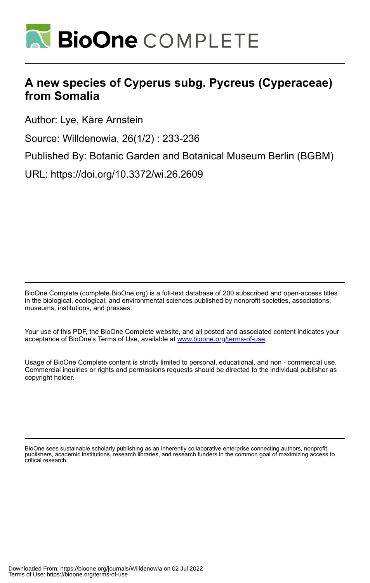

# **A new species of Cyperus subg. Pycreus (Cyperaceae) from Somalia**

Author: Lye, Kåre Arnstein

Source: Willdenowia, 26(1/2) : 233-236

Published By: Botanic Garden and Botanical Museum Berlin (BGBM)

URL: https://doi.org/10.3372/wi.26.2609

BioOne Complete (complete.BioOne.org) is a full-text database of 200 subscribed and open-access titles in the biological, ecological, and environmental sciences published by nonprofit societies, associations, museums, institutions, and presses.

Your use of this PDF, the BioOne Complete website, and all posted and associated content indicates your acceptance of BioOne's Terms of Use, available at www.bioone.org/terms-of-use.

Usage of BioOne Complete content is strictly limited to personal, educational, and non - commercial use. Commercial inquiries or rights and permissions requests should be directed to the individual publisher as copyright holder.

BioOne sees sustainable scholarly publishing as an inherently collaborative enterprise connecting authors, nonprofit publishers, academic institutions, research libraries, and research funders in the common goal of maximizing access to critical research.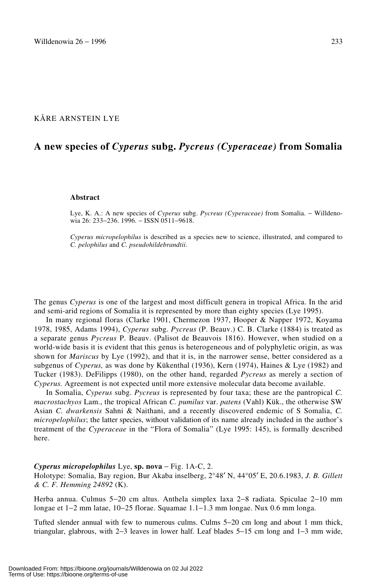# KÅRE ARNSTEIN LYE

# **A new species of** *Cyperus* **subg.** *Pycreus (Cyperaceae)* **from Somalia**

#### **Abstract**

Lye, K. A.: A new species of *Cyperus* subg. *Pycreus (Cyperaceae)* from Somalia. − Willdenowia 26: 233−236. 1996. − ISSN 0511−9618.

*Cyperus micropelophilus* is described as a species new to science, illustrated, and compared to *C. pelophilus* and *C. pseudohildebrandtii*.

The genus *Cyperus* is one of the largest and most difficult genera in tropical Africa. In the arid and semi-arid regions of Somalia it is represented by more than eighty species (Lye 1995).

In many regional floras (Clarke 1901, Chermezon 1937, Hooper & Napper 1972, Koyama 1978, 1985, Adams 1994), *Cyperus* subg. *Pycreus* (P. Beauv.) C. B. Clarke (1884) is treated as a separate genus *Pycreus* P. Beauv. (Palisot de Beauvois 1816). However, when studied on a world-wide basis it is evident that this genus is heterogeneous and of polyphyletic origin, as was shown for *Mariscus* by Lye (1992), and that it is, in the narrower sense, better considered as a subgenus of *Cyperus,* as was done by Kükenthal (1936), Kern (1974), Haines & Lye (1982) and Tucker (1983). DeFilipps (1980), on the other hand, regarded *Pycreus* as merely a section of *Cyperus.* Agreement is not expected until more extensive molecular data become available.

In Somalia, *Cyperus* subg. *Pycreus* is represented by four taxa; these are the pantropical *C. macrostachyos* Lam., the tropical African *C. pumilus* var. *patens* (Vahl) Kük., the otherwise SW Asian *C. dwarkensis* Sahni & Naithani, and a recently discovered endemic of S Somalia, *C. micropelophilus*; the latter species, without validation of its name already included in the author's treatment of the *Cyperaceae* in the "Flora of Somalia" (Lye 1995: 145), is formally described here.

### *Cyperus micropelophilus* Lye, **sp. nova** − Fig. 1A-C, 2.

Holotype: Somalia, Bay region, Bur Akaba inselberg, 2°48′ N, 44°05′ E, 20.6.1983, *J. B. Gillett & C. F. Hemming 24892* (K).

Herba annua. Culmus 5−20 cm altus. Anthela simplex laxa 2−8 radiata. Spiculae 2−10 mm longae et 1−2 mm latae, 10−25 florae. Squamae 1.1−1.3 mm longae. Nux 0.6 mm longa.

Tufted slender annual with few to numerous culms. Culms 5−20 cm long and about 1 mm thick, triangular, glabrous, with 2−3 leaves in lower half. Leaf blades 5−15 cm long and 1−3 mm wide,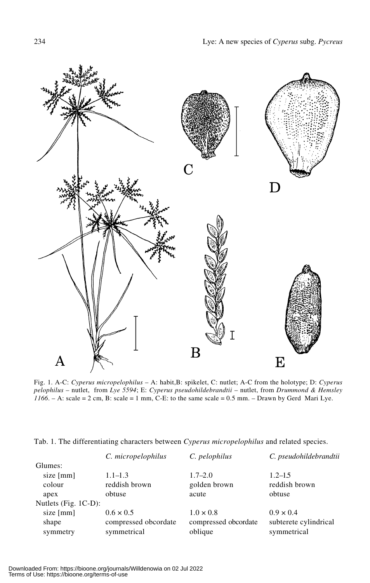

Fig. 1. A-C: *Cyperus micropelophilus* – A: habit,B: spikelet, C: nutlet; A-C from the holotype; D: *Cyperus pelophilus* – nutlet, from *Lye 5594*; E: *Cyperus pseudohildebrandtii* – nutlet, from *Drummond & Hemsley*  $1166$ . – A: scale = 2 cm, B: scale = 1 mm, C-E: to the same scale =  $0.5$  mm. – Drawn by Gerd Mari Lye.

| Tab. 1. The differentiating characters between Cyperus micropelophilus and related species. |  |  |  |  |  |  |  |  |  |  |
|---------------------------------------------------------------------------------------------|--|--|--|--|--|--|--|--|--|--|
|---------------------------------------------------------------------------------------------|--|--|--|--|--|--|--|--|--|--|

|                      | C. micropelophilus   | C. pelophilus        | C. pseudohildebrandtii |
|----------------------|----------------------|----------------------|------------------------|
| Glumes:              |                      |                      |                        |
| size $[mm]$          | $1.1 - 1.3$          | $1.7 - 2.0$          | $1.2 - 1.5$            |
| colour               | reddish brown        | golden brown         | reddish brown          |
| apex                 | obtuse               | acute                | obtuse                 |
| Nutlets (Fig. 1C-D): |                      |                      |                        |
| size [mm]            | $0.6 \times 0.5$     | $1.0 \times 0.8$     | $0.9 \times 0.4$       |
| shape                | compressed obcordate | compressed obcordate | subterete cylindrical  |
| symmetry             | symmetrical          | oblique              | symmetrical            |
|                      |                      |                      |                        |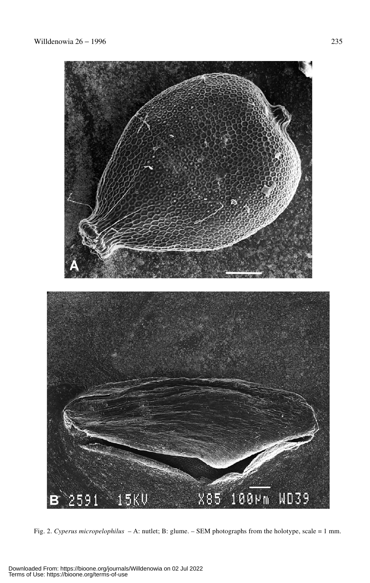

Fig. 2. *Cyperus micropelophilus* – A: nutlet; B: glume. – SEM photographs from the holotype, scale = 1 mm.